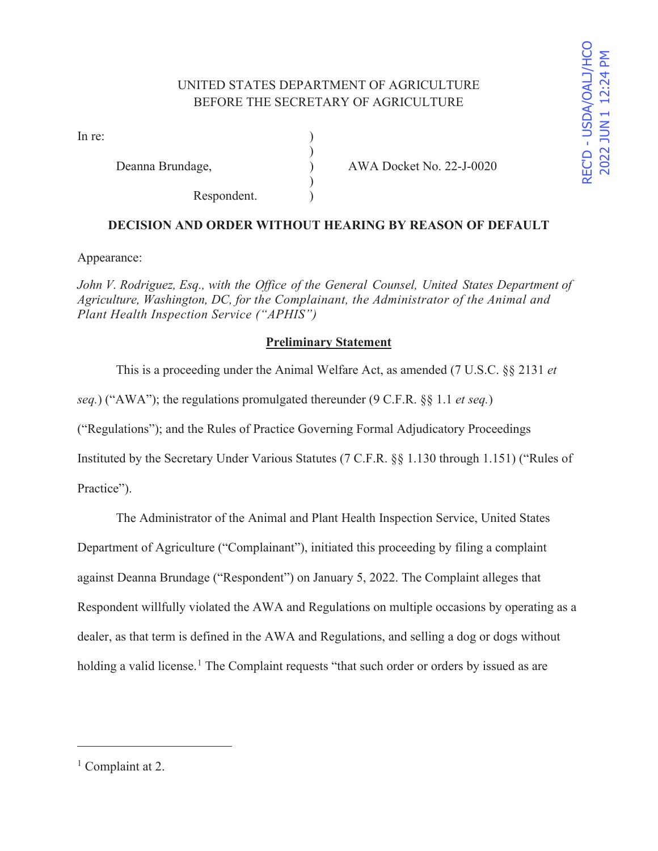# UNITED STATES DEPARTMENT OF AGRICULTURE BEFORE THE SECRETARY OF AGRICULTURE

)

 $\mathcal{L}$ 

In re:  $\qquad \qquad$  )

Respondent. )

Deanna Brundage,  $\overline{)}$  AWA Docket No. 22-J-0020

## **DECISION AND ORDER WITHOUT HEARING BY REASON OF DEFAULT**

Appearance:

*John V. Rodriguez, Esq., with the Office of the General Counsel, United States Department of Agriculture, Washington, DC, for the Complainant, the Administrator of the Animal and Plant Health Inspection Service ("APHIS")* 

## **Preliminary Statement**

This is a proceeding under the Animal Welfare Act, as amended (7 U.S.C. §§ 2131 *et*

*seq.*) ("AWA"); the regulations promulgated thereunder (9 C.F.R. §§ 1.1 *et seq.*)

("Regulations"); and the Rules of Practice Governing Formal Adjudicatory Proceedings

Instituted by the Secretary Under Various Statutes (7 C.F.R. §§ 1.130 through 1.151) ("Rules of

Practice").

The Administrator of the Animal and Plant Health Inspection Service, United States

Department of Agriculture ("Complainant"), initiated this proceeding by filing a complaint

against Deanna Brundage ("Respondent") on January 5, 2022. The Complaint alleges that

Respondent willfully violated the AWA and Regulations on multiple occasions by operating as a

dealer, as that term is defined in the AWA and Regulations, and selling a dog or dogs without

holding a valid license.<sup>1</sup> The Complaint requests "that such order or orders by issued as are

<sup>&</sup>lt;sup>1</sup> Complaint at 2.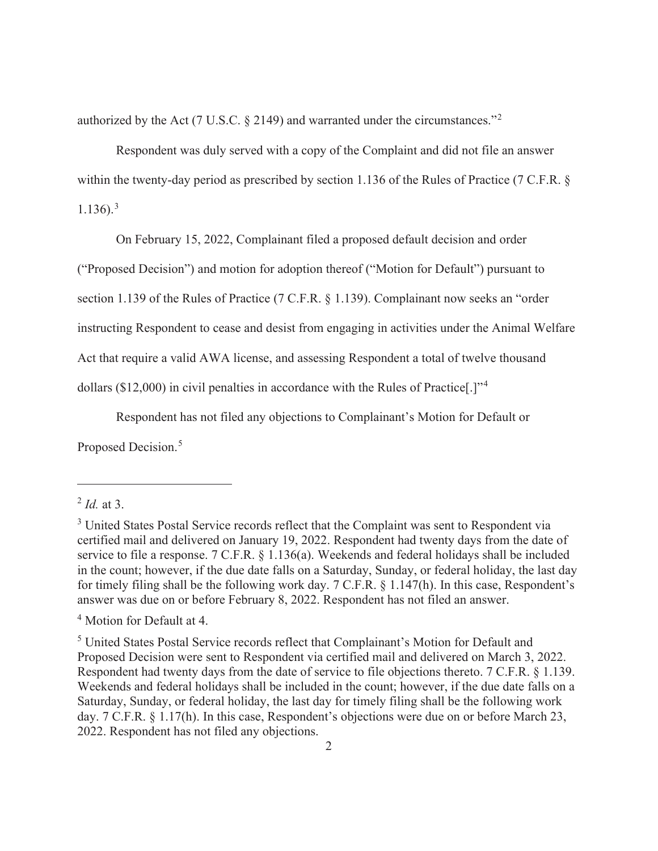authorized by the Act (7 U.S.C. § 2149) and warranted under the circumstances."<sup>2</sup>

 Respondent was duly served with a copy of the Complaint and did not file an answer within the twenty-day period as prescribed by section 1.136 of the Rules of Practice (7 C.F.R. §  $1.136$ ).<sup>3</sup>

On February 15, 2022, Complainant filed a proposed default decision and order

("Proposed Decision") and motion for adoption thereof ("Motion for Default") pursuant to

section 1.139 of the Rules of Practice (7 C.F.R. § 1.139). Complainant now seeks an "order

instructing Respondent to cease and desist from engaging in activities under the Animal Welfare

Act that require a valid AWA license, and assessing Respondent a total of twelve thousand

dollars (\$12,000) in civil penalties in accordance with the Rules of Practice[.]"<sup>4</sup>

Respondent has not filed any objections to Complainant's Motion for Default or

Proposed Decision.<sup>5</sup>

4 Motion for Default at 4.

<sup>2</sup> *Id.* at 3.

<sup>&</sup>lt;sup>3</sup> United States Postal Service records reflect that the Complaint was sent to Respondent via certified mail and delivered on January 19, 2022. Respondent had twenty days from the date of service to file a response. 7 C.F.R. § 1.136(a). Weekends and federal holidays shall be included in the count; however, if the due date falls on a Saturday, Sunday, or federal holiday, the last day for timely filing shall be the following work day. 7 C.F.R. § 1.147(h). In this case, Respondent's answer was due on or before February 8, 2022. Respondent has not filed an answer.

<sup>&</sup>lt;sup>5</sup> United States Postal Service records reflect that Complainant's Motion for Default and Proposed Decision were sent to Respondent via certified mail and delivered on March 3, 2022. Respondent had twenty days from the date of service to file objections thereto. 7 C.F.R. § 1.139. Weekends and federal holidays shall be included in the count; however, if the due date falls on a Saturday, Sunday, or federal holiday, the last day for timely filing shall be the following work day. 7 C.F.R. § 1.17(h). In this case, Respondent's objections were due on or before March 23, 2022. Respondent has not filed any objections.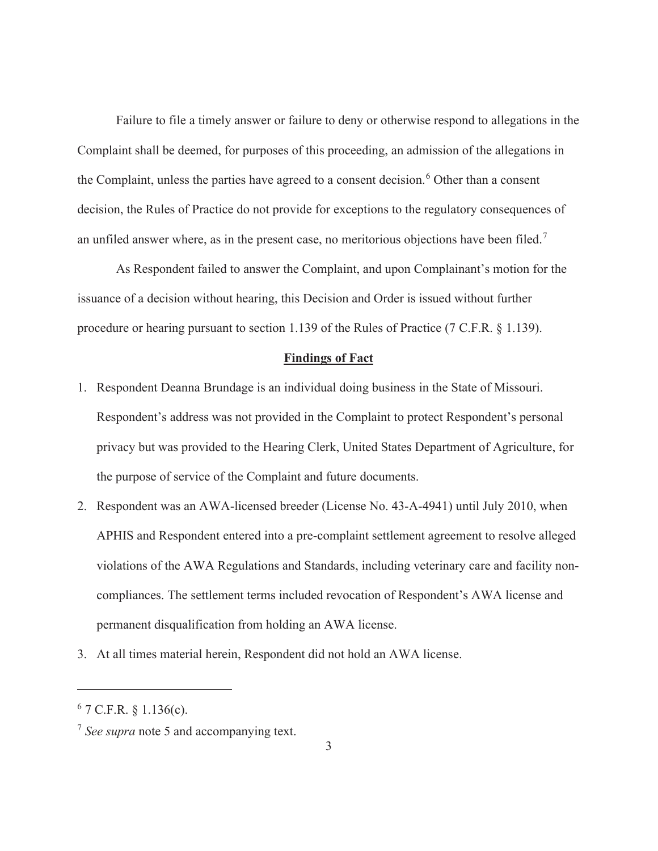Failure to file a timely answer or failure to deny or otherwise respond to allegations in the Complaint shall be deemed, for purposes of this proceeding, an admission of the allegations in the Complaint, unless the parties have agreed to a consent decision.<sup>6</sup> Other than a consent decision, the Rules of Practice do not provide for exceptions to the regulatory consequences of an unfiled answer where, as in the present case, no meritorious objections have been filed.<sup>7</sup>

 As Respondent failed to answer the Complaint, and upon Complainant's motion for the issuance of a decision without hearing, this Decision and Order is issued without further procedure or hearing pursuant to section 1.139 of the Rules of Practice (7 C.F.R. § 1.139).

#### **Findings of Fact**

- 1. Respondent Deanna Brundage is an individual doing business in the State of Missouri. Respondent's address was not provided in the Complaint to protect Respondent's personal privacy but was provided to the Hearing Clerk, United States Department of Agriculture, for the purpose of service of the Complaint and future documents.
- 2. Respondent was an AWA-licensed breeder (License No. 43-A-4941) until July 2010, when APHIS and Respondent entered into a pre-complaint settlement agreement to resolve alleged violations of the AWA Regulations and Standards, including veterinary care and facility noncompliances. The settlement terms included revocation of Respondent's AWA license and permanent disqualification from holding an AWA license.
- 3. At all times material herein, Respondent did not hold an AWA license.

 $6$  7 C.F.R. § 1.136(c).

<sup>7</sup> *See supra* note 5 and accompanying text.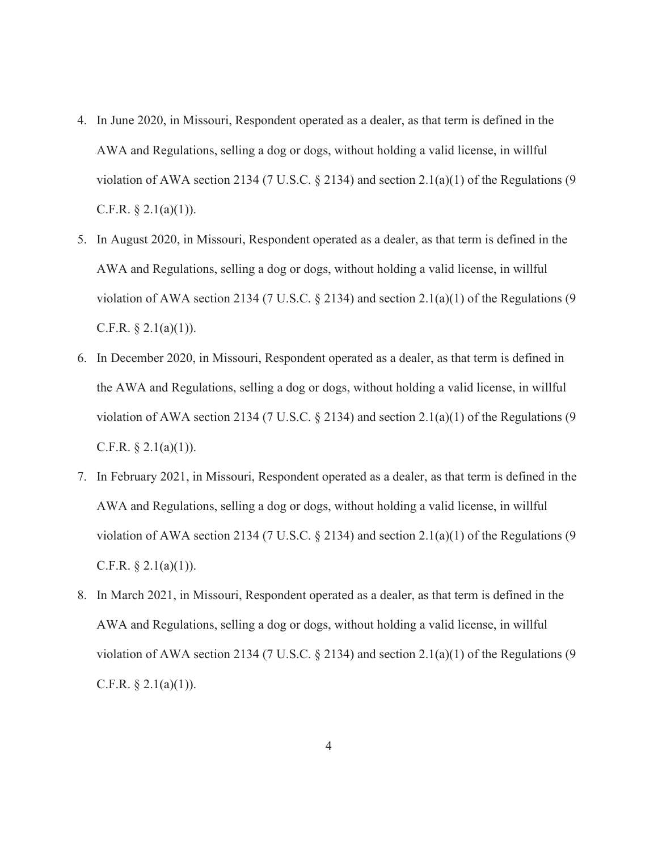- 4. In June 2020, in Missouri, Respondent operated as a dealer, as that term is defined in the AWA and Regulations, selling a dog or dogs, without holding a valid license, in willful violation of AWA section 2134 (7 U.S.C.  $\S$  2134) and section 2.1(a)(1) of the Regulations (9 C.F.R.  $\S 2.1(a)(1)$ ).
- 5. In August 2020, in Missouri, Respondent operated as a dealer, as that term is defined in the AWA and Regulations, selling a dog or dogs, without holding a valid license, in willful violation of AWA section 2134 (7 U.S.C. § 2134) and section 2.1(a)(1) of the Regulations (9 C.F.R.  $\S$  2.1(a)(1)).
- 6. In December 2020, in Missouri, Respondent operated as a dealer, as that term is defined in the AWA and Regulations, selling a dog or dogs, without holding a valid license, in willful violation of AWA section 2134 (7 U.S.C.  $\S$  2134) and section 2.1(a)(1) of the Regulations (9 C.F.R.  $\S 2.1(a)(1)$ ).
- 7. In February 2021, in Missouri, Respondent operated as a dealer, as that term is defined in the AWA and Regulations, selling a dog or dogs, without holding a valid license, in willful violation of AWA section 2134 (7 U.S.C.  $\S$  2134) and section 2.1(a)(1) of the Regulations (9 C.F.R.  $\S 2.1(a)(1)$ ).
- 8. In March 2021, in Missouri, Respondent operated as a dealer, as that term is defined in the AWA and Regulations, selling a dog or dogs, without holding a valid license, in willful violation of AWA section 2134 (7 U.S.C.  $\S$  2134) and section 2.1(a)(1) of the Regulations (9 C.F.R.  $\S 2.1(a)(1)$ ).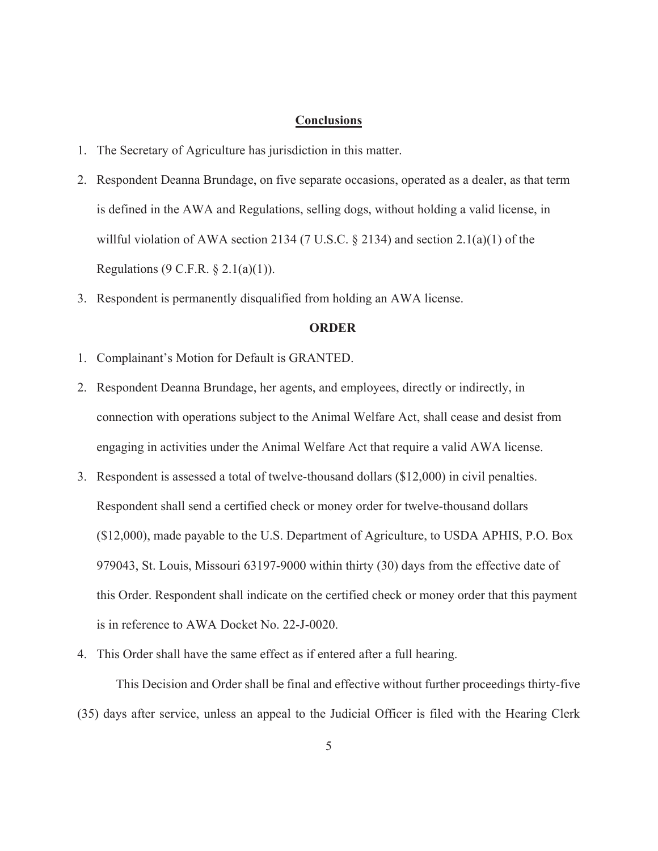### **Conclusions**

- 1. The Secretary of Agriculture has jurisdiction in this matter.
- 2. Respondent Deanna Brundage, on five separate occasions, operated as a dealer, as that term is defined in the AWA and Regulations, selling dogs, without holding a valid license, in willful violation of AWA section 2134 (7 U.S.C. § 2134) and section 2.1(a)(1) of the Regulations (9 C.F.R. § 2.1(a)(1)).
- 3. Respondent is permanently disqualified from holding an AWA license.

### **ORDER**

- 1. Complainant's Motion for Default is GRANTED.
- 2. Respondent Deanna Brundage, her agents, and employees, directly or indirectly, in connection with operations subject to the Animal Welfare Act, shall cease and desist from engaging in activities under the Animal Welfare Act that require a valid AWA license.
- 3. Respondent is assessed a total of twelve-thousand dollars (\$12,000) in civil penalties. Respondent shall send a certified check or money order for twelve-thousand dollars (\$12,000), made payable to the U.S. Department of Agriculture, to USDA APHIS, P.O. Box 979043, St. Louis, Missouri 63197-9000 within thirty (30) days from the effective date of this Order. Respondent shall indicate on the certified check or money order that this payment is in reference to AWA Docket No. 22-J-0020.
- 4. This Order shall have the same effect as if entered after a full hearing.

 This Decision and Order shall be final and effective without further proceedings thirty-five (35) days after service, unless an appeal to the Judicial Officer is filed with the Hearing Clerk